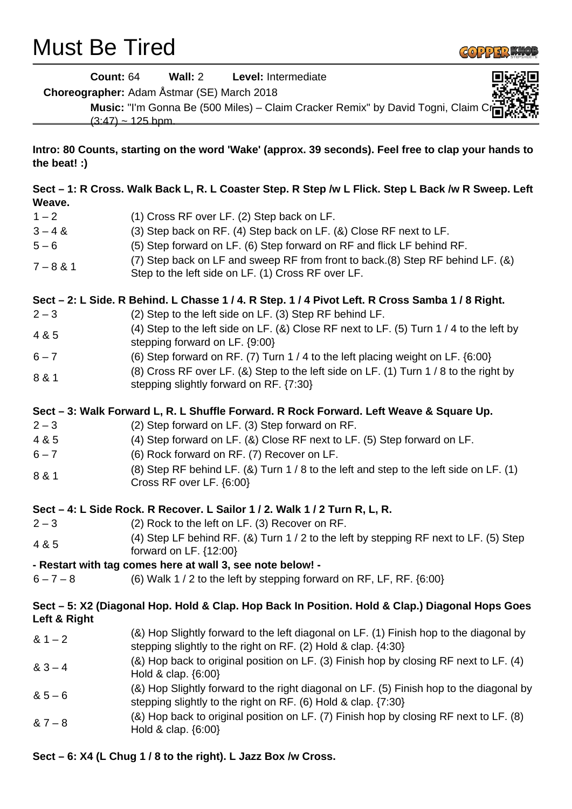# Must Be Tired



|                                                                                                                     | <b>Count: 64</b><br>Wall: 2 Level: Intermediate<br><b>Choreographer:</b> Adam Åstmar (SE) March 2018<br>Music: "I'm Gonna Be (500 Miles) - Claim Cracker Remix" by David Togni, Claim C<br>$(3.47) \sim 125$ bpm. |  |  |  |
|---------------------------------------------------------------------------------------------------------------------|-------------------------------------------------------------------------------------------------------------------------------------------------------------------------------------------------------------------|--|--|--|
| Intro: 80 Counts, starting on the word 'Wake' (approx. 39 seconds). Feel free to clap your hands to<br>the beat! :) |                                                                                                                                                                                                                   |  |  |  |
| Weave.                                                                                                              | Sect - 1: R Cross. Walk Back L, R. L Coaster Step. R Step /w L Flick. Step L Back /w R Sweep. Left                                                                                                                |  |  |  |
| $1 - 2$                                                                                                             | (1) Cross RF over LF. (2) Step back on LF.                                                                                                                                                                        |  |  |  |
| $3 - 4 &$                                                                                                           | (3) Step back on RF. (4) Step back on LF. (&) Close RF next to LF.                                                                                                                                                |  |  |  |
| $5 - 6$                                                                                                             | (5) Step forward on LF. (6) Step forward on RF and flick LF behind RF.                                                                                                                                            |  |  |  |
| $7 - 8 & 1$                                                                                                         | (7) Step back on LF and sweep RF from front to back.(8) Step RF behind LF. (&)<br>Step to the left side on LF. (1) Cross RF over LF.                                                                              |  |  |  |
|                                                                                                                     | Sect - 2: L Side. R Behind. L Chasse 1 / 4. R Step. 1 / 4 Pivot Left. R Cross Samba 1 / 8 Right.                                                                                                                  |  |  |  |
| $2 - 3$                                                                                                             | (2) Step to the left side on LF. (3) Step RF behind LF.                                                                                                                                                           |  |  |  |
| 4 & 5                                                                                                               | (4) Step to the left side on LF. (&) Close RF next to LF. (5) Turn 1 / 4 to the left by                                                                                                                           |  |  |  |
| $6 - 7$                                                                                                             | stepping forward on LF. {9:00}                                                                                                                                                                                    |  |  |  |
|                                                                                                                     | (6) Step forward on RF. (7) Turn 1 / 4 to the left placing weight on LF. {6:00}<br>(8) Cross RF over LF. (&) Step to the left side on LF. (1) Turn 1 / 8 to the right by                                          |  |  |  |
| 8 & 1                                                                                                               | stepping slightly forward on RF. {7:30}                                                                                                                                                                           |  |  |  |
|                                                                                                                     | Sect - 3: Walk Forward L, R. L Shuffle Forward. R Rock Forward. Left Weave & Square Up.                                                                                                                           |  |  |  |
| $2 - 3$                                                                                                             | (2) Step forward on LF. (3) Step forward on RF.                                                                                                                                                                   |  |  |  |
| 4 & 5                                                                                                               | (4) Step forward on LF. (&) Close RF next to LF. (5) Step forward on LF.                                                                                                                                          |  |  |  |
| $6 - 7$                                                                                                             | (6) Rock forward on RF. (7) Recover on LF.                                                                                                                                                                        |  |  |  |
| 8 & 1                                                                                                               | (8) Step RF behind LF. (&) Turn $1/8$ to the left and step to the left side on LF. (1)<br>Cross RF over LF. {6:00}                                                                                                |  |  |  |
|                                                                                                                     | Sect - 4: L Side Rock. R Recover. L Sailor 1 / 2. Walk 1 / 2 Turn R, L, R.                                                                                                                                        |  |  |  |
| $2 - 3$                                                                                                             | (2) Rock to the left on LF. (3) Recover on RF.                                                                                                                                                                    |  |  |  |
| 4 & 5                                                                                                               | (4) Step LF behind RF. (&) Turn 1 / 2 to the left by stepping RF next to LF. (5) Step<br>forward on LF. $\{12:00\}$                                                                                               |  |  |  |
|                                                                                                                     | - Restart with tag comes here at wall 3, see note below! -                                                                                                                                                        |  |  |  |
| $6 - 7 - 8$                                                                                                         | (6) Walk 1 / 2 to the left by stepping forward on RF, LF, RF. $\{6:00\}$                                                                                                                                          |  |  |  |
| Left & Right                                                                                                        | Sect - 5: X2 (Diagonal Hop. Hold & Clap. Hop Back In Position. Hold & Clap.) Diagonal Hops Goes                                                                                                                   |  |  |  |
| $81 - 2$                                                                                                            | (&) Hop Slightly forward to the left diagonal on LF. (1) Finish hop to the diagonal by<br>stepping slightly to the right on RF. (2) Hold & clap. {4:30}                                                           |  |  |  |
| $83 - 4$                                                                                                            | (&) Hop back to original position on LF. (3) Finish hop by closing RF next to LF. (4)<br>Hold & clap. {6:00}                                                                                                      |  |  |  |
| $85 - 6$                                                                                                            | (&) Hop Slightly forward to the right diagonal on LF. (5) Finish hop to the diagonal by<br>stepping slightly to the right on RF. (6) Hold & clap. {7:30}                                                          |  |  |  |
| $87 - 8$                                                                                                            | (&) Hop back to original position on LF. (7) Finish hop by closing RF next to LF. (8)<br>Hold & clap. {6:00}                                                                                                      |  |  |  |

# **Sect – 6: X4 (L Chug 1 / 8 to the right). L Jazz Box /w Cross.**